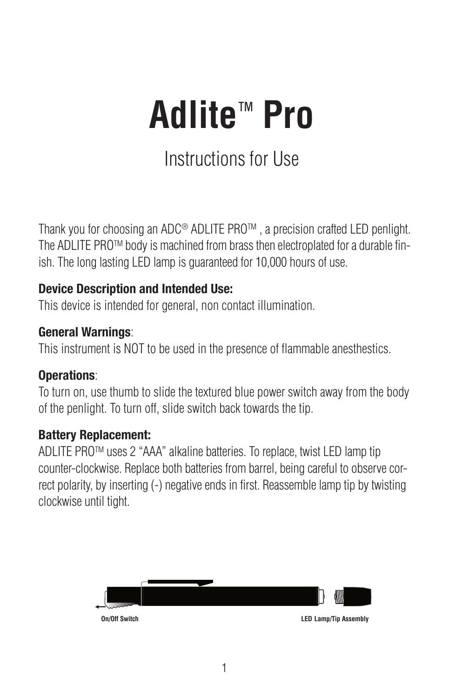# **Adlite**™ **Pro**

## Instructions for Use

Thank you for choosing an ADC® ADLITE PROTM , a precision crafted LED penlight. The ADLITE PRO<sup>TM</sup> body is machined from brass then electroplated for a durable finish. The long lasting LED lamp is guaranteed for 10,000 hours of use.

#### **Device Description and Intended Use:**

This device is intended for general, non contact illumination.

#### **General Warnings**:

This instrument is NOT to be used in the presence of flammable anesthestics.

#### **Operations**:

To turn on, use thumb to slide the textured blue power switch away from the body of the penlight. To turn off, slide switch back towards the tip.

#### **Battery Replacement:**

ADLITE PROTM uses 2 "AAA" alkaline batteries. To replace, twist LED lamp tip counter-clockwise. Replace both batteries from barrel, being careful to observe correct polarity, by inserting (-) negative ends in first. Reassemble lamp tip by twisting clockwise until tight.

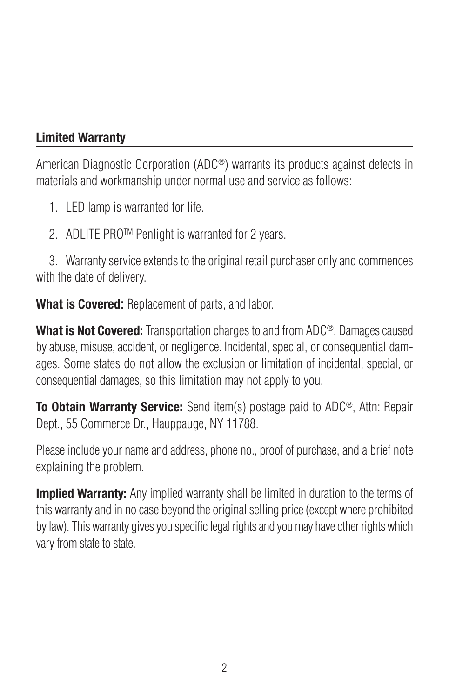### **Limited Warranty**

American Diagnostic Corporation (ADC®) warrants its products against defects in materials and workmanship under normal use and service as follows:

- 1. LED lamp is warranted for life.
- 2. ADLITE PRO™ Penlight is warranted for 2 years.

3. Warranty service extends to the original retail purchaser only and commences with the date of delivery.

**What is Covered:** Replacement of parts, and labor.

**What is Not Covered:** Transportation charges to and from ADC<sup>®</sup>. Damages caused by abuse, misuse, accident, or negligence. Incidental, special, or consequential damages. Some states do not allow the exclusion or limitation of incidental, special, or consequential damages, so this limitation may not apply to you.

**To Obtain Warranty Service:** Send item(s) postage paid to ADC®, Attn: Repair Dept., 55 Commerce Dr., Hauppauge, NY 11788.

Please include your name and address, phone no., proof of purchase, and a brief note explaining the problem.

**Implied Warranty:** Any implied warranty shall be limited in duration to the terms of this warranty and in no case beyond the original selling price (except where prohibited by law). This warranty gives you specific legal rights and you may have other rights which vary from state to state.